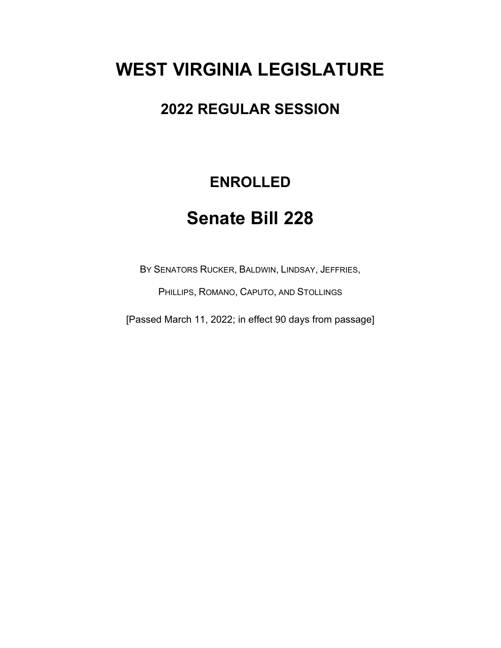# **WEST VIRGINIA LEGISLATURE**

### **2022 REGULAR SESSION**

## **ENROLLED**

## **Senate Bill 228**

BY SENATORS RUCKER, BALDWIN, LINDSAY, JEFFRIES,

PHILLIPS, ROMANO, CAPUTO, AND STOLLINGS

[Passed March 11, 2022; in effect 90 days from passage]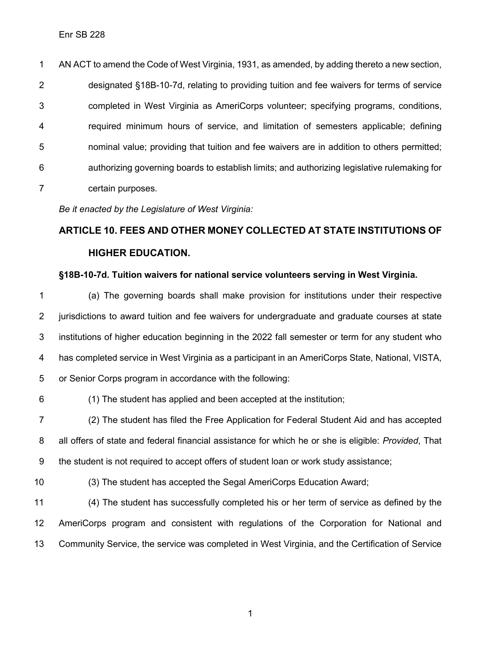AN ACT to amend the Code of West Virginia, 1931, as amended, by adding thereto a new section, designated §18B-10-7d, relating to providing tuition and fee waivers for terms of service completed in West Virginia as AmeriCorps volunteer; specifying programs, conditions, required minimum hours of service, and limitation of semesters applicable; defining nominal value; providing that tuition and fee waivers are in addition to others permitted; authorizing governing boards to establish limits; and authorizing legislative rulemaking for certain purposes.

*Be it enacted by the Legislature of West Virginia:*

## **ARTICLE 10. FEES AND OTHER MONEY COLLECTED AT STATE INSTITUTIONS OF HIGHER EDUCATION.**

#### **§18B-10-7d. Tuition waivers for national service volunteers serving in West Virginia.**

 (a) The governing boards shall make provision for institutions under their respective jurisdictions to award tuition and fee waivers for undergraduate and graduate courses at state institutions of higher education beginning in the 2022 fall semester or term for any student who has completed service in West Virginia as a participant in an AmeriCorps State, National, VISTA, or Senior Corps program in accordance with the following:

(1) The student has applied and been accepted at the institution;

 (2) The student has filed the Free Application for Federal Student Aid and has accepted all offers of state and federal financial assistance for which he or she is eligible: *Provided*, That the student is not required to accept offers of student loan or work study assistance;

(3) The student has accepted the Segal AmeriCorps Education Award;

 (4) The student has successfully completed his or her term of service as defined by the AmeriCorps program and consistent with regulations of the Corporation for National and Community Service, the service was completed in West Virginia, and the Certification of Service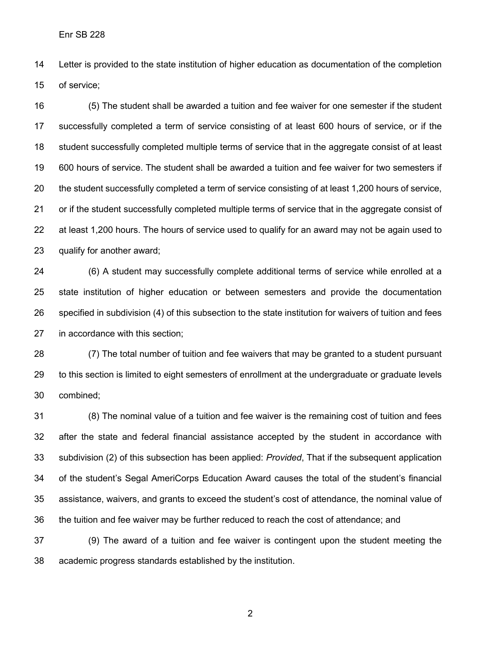Letter is provided to the state institution of higher education as documentation of the completion of service;

 (5) The student shall be awarded a tuition and fee waiver for one semester if the student successfully completed a term of service consisting of at least 600 hours of service, or if the student successfully completed multiple terms of service that in the aggregate consist of at least 600 hours of service. The student shall be awarded a tuition and fee waiver for two semesters if the student successfully completed a term of service consisting of at least 1,200 hours of service, or if the student successfully completed multiple terms of service that in the aggregate consist of 22 at least 1,200 hours. The hours of service used to qualify for an award may not be again used to qualify for another award;

 (6) A student may successfully complete additional terms of service while enrolled at a state institution of higher education or between semesters and provide the documentation specified in subdivision (4) of this subsection to the state institution for waivers of tuition and fees in accordance with this section;

 (7) The total number of tuition and fee waivers that may be granted to a student pursuant to this section is limited to eight semesters of enrollment at the undergraduate or graduate levels combined;

 (8) The nominal value of a tuition and fee waiver is the remaining cost of tuition and fees after the state and federal financial assistance accepted by the student in accordance with subdivision (2) of this subsection has been applied: *Provided*, That if the subsequent application of the student's Segal AmeriCorps Education Award causes the total of the student's financial assistance, waivers, and grants to exceed the student's cost of attendance, the nominal value of the tuition and fee waiver may be further reduced to reach the cost of attendance; and

 (9) The award of a tuition and fee waiver is contingent upon the student meeting the academic progress standards established by the institution.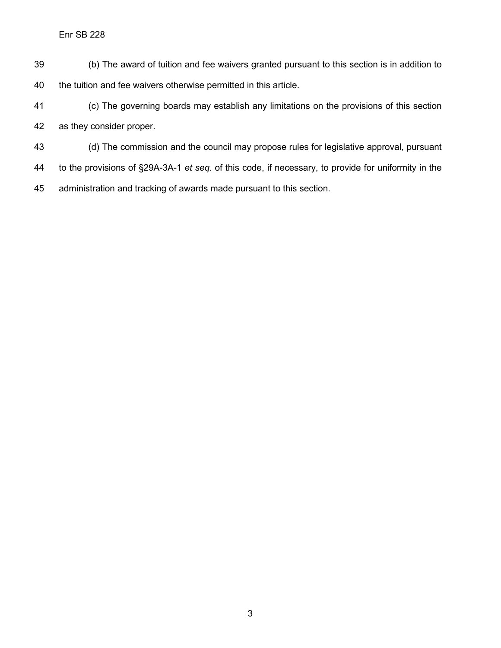- (b) The award of tuition and fee waivers granted pursuant to this section is in addition to the tuition and fee waivers otherwise permitted in this article.
- (c) The governing boards may establish any limitations on the provisions of this section as they consider proper.
- (d) The commission and the council may propose rules for legislative approval, pursuant
- to the provisions of §29A-3A-1 *et seq.* of this code, if necessary, to provide for uniformity in the
- administration and tracking of awards made pursuant to this section.